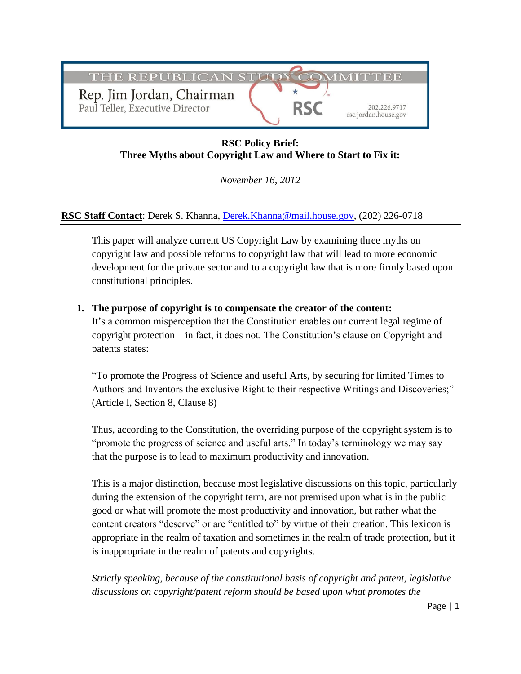

# **RSC Policy Brief: Three Myths about Copyright Law and Where to Start to Fix it:**

*November 16, 2012*

## **RSC Staff Contact**: Derek S. Khanna, [Derek.Khanna@mail.house.gov,](mailto:Derek.Khanna@mail.house.gov) (202) 226-0718

This paper will analyze current US Copyright Law by examining three myths on copyright law and possible reforms to copyright law that will lead to more economic development for the private sector and to a copyright law that is more firmly based upon constitutional principles.

#### **1. The purpose of copyright is to compensate the creator of the content:**

It's a common misperception that the Constitution enables our current legal regime of copyright protection – in fact, it does not. The Constitution's clause on Copyright and patents states:

"To promote the Progress of Science and useful Arts, by securing for limited Times to Authors and Inventors the exclusive Right to their respective Writings and Discoveries;" (Article I, Section 8, Clause 8)

Thus, according to the Constitution, the overriding purpose of the copyright system is to "promote the progress of science and useful arts." In today's terminology we may say that the purpose is to lead to maximum productivity and innovation.

This is a major distinction, because most legislative discussions on this topic, particularly during the extension of the copyright term, are not premised upon what is in the public good or what will promote the most productivity and innovation, but rather what the content creators "deserve" or are "entitled to" by virtue of their creation. This lexicon is appropriate in the realm of taxation and sometimes in the realm of trade protection, but it is inappropriate in the realm of patents and copyrights.

*Strictly speaking, because of the constitutional basis of copyright and patent, legislative discussions on copyright/patent reform should be based upon what promotes the*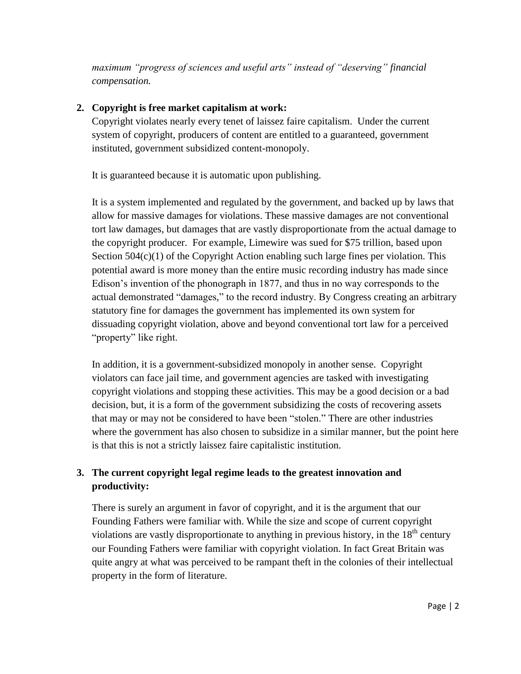*maximum "progress of sciences and useful arts" instead of "deserving" financial compensation.*

# **2. Copyright is free market capitalism at work:**

Copyright violates nearly every tenet of laissez faire capitalism. Under the current system of copyright, producers of content are entitled to a guaranteed, government instituted, government subsidized content-monopoly.

It is guaranteed because it is automatic upon publishing.

It is a system implemented and regulated by the government, and backed up by laws that allow for massive damages for violations. These massive damages are not conventional tort law damages, but damages that are vastly disproportionate from the actual damage to the copyright producer. For example, Limewire was sued for \$75 trillion, based upon Section  $504(c)(1)$  of the Copyright Action enabling such large fines per violation. This potential award is more money than the entire music recording industry has made since Edison's invention of the phonograph in 1877, and thus in no way corresponds to the actual demonstrated "damages," to the record industry. By Congress creating an arbitrary statutory fine for damages the government has implemented its own system for dissuading copyright violation, above and beyond conventional tort law for a perceived "property" like right.

In addition, it is a government-subsidized monopoly in another sense. Copyright violators can face jail time, and government agencies are tasked with investigating copyright violations and stopping these activities. This may be a good decision or a bad decision, but, it is a form of the government subsidizing the costs of recovering assets that may or may not be considered to have been "stolen." There are other industries where the government has also chosen to subsidize in a similar manner, but the point here is that this is not a strictly laissez faire capitalistic institution.

# **3. The current copyright legal regime leads to the greatest innovation and productivity:**

There is surely an argument in favor of copyright, and it is the argument that our Founding Fathers were familiar with. While the size and scope of current copyright violations are vastly disproportionate to anything in previous history, in the  $18<sup>th</sup>$  century our Founding Fathers were familiar with copyright violation. In fact Great Britain was quite angry at what was perceived to be rampant theft in the colonies of their intellectual property in the form of literature.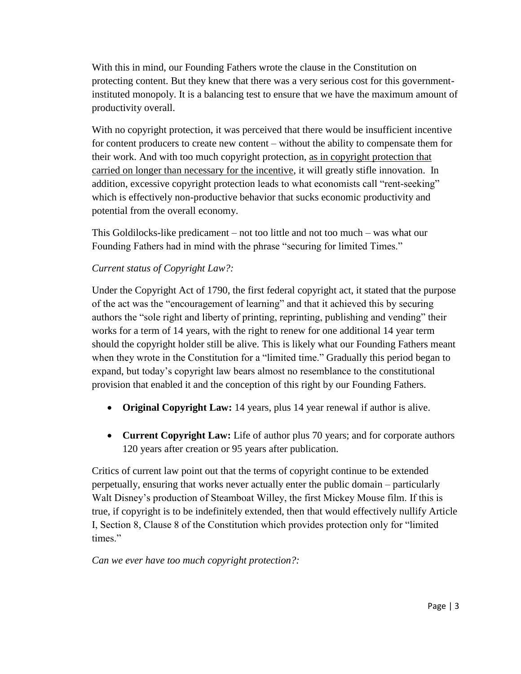With this in mind, our Founding Fathers wrote the clause in the Constitution on protecting content. But they knew that there was a very serious cost for this governmentinstituted monopoly. It is a balancing test to ensure that we have the maximum amount of productivity overall.

With no copyright protection, it was perceived that there would be insufficient incentive for content producers to create new content – without the ability to compensate them for their work. And with too much copyright protection, as in copyright protection that carried on longer than necessary for the incentive, it will greatly stifle innovation. In addition, excessive copyright protection leads to what economists call "rent-seeking" which is effectively non-productive behavior that sucks economic productivity and potential from the overall economy.

This Goldilocks-like predicament – not too little and not too much – was what our Founding Fathers had in mind with the phrase "securing for limited Times."

# *Current status of Copyright Law?:*

Under the Copyright Act of 1790, the first federal copyright act, it stated that the purpose of the act was the "encouragement of learning" and that it achieved this by securing authors the "sole right and liberty of printing, reprinting, publishing and vending" their works for a term of 14 years, with the right to renew for one additional 14 year term should the copyright holder still be alive. This is likely what our Founding Fathers meant when they wrote in the Constitution for a "limited time." Gradually this period began to expand, but today's copyright law bears almost no resemblance to the constitutional provision that enabled it and the conception of this right by our Founding Fathers.

- **Original Copyright Law:** 14 years, plus 14 year renewal if author is alive.
- **Current Copyright Law:** Life of author plus 70 years; and for corporate authors 120 years after creation or 95 years after publication.

Critics of current law point out that the terms of copyright continue to be extended perpetually, ensuring that works never actually enter the public domain – particularly Walt Disney's production of Steamboat Willey, the first Mickey Mouse film. If this is true, if copyright is to be indefinitely extended, then that would effectively nullify Article I, Section 8, Clause 8 of the Constitution which provides protection only for "limited times."

*Can we ever have too much copyright protection?:*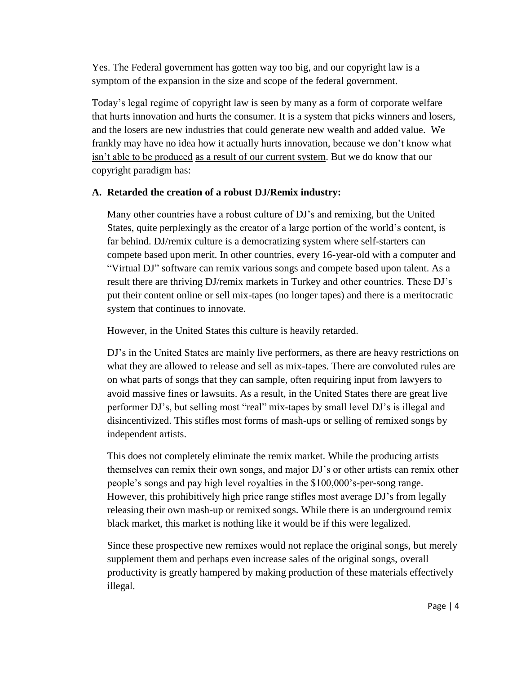Yes. The Federal government has gotten way too big, and our copyright law is a symptom of the expansion in the size and scope of the federal government.

Today's legal regime of copyright law is seen by many as a form of corporate welfare that hurts innovation and hurts the consumer. It is a system that picks winners and losers, and the losers are new industries that could generate new wealth and added value. We frankly may have no idea how it actually hurts innovation, because we don't know what isn't able to be produced as a result of our current system. But we do know that our copyright paradigm has:

#### **A. Retarded the creation of a robust DJ/Remix industry:**

Many other countries have a robust culture of DJ's and remixing, but the United States, quite perplexingly as the creator of a large portion of the world's content, is far behind. DJ/remix culture is a democratizing system where self-starters can compete based upon merit. In other countries, every 16-year-old with a computer and "Virtual DJ" software can remix various songs and compete based upon talent. As a result there are thriving DJ/remix markets in Turkey and other countries. These DJ's put their content online or sell mix-tapes (no longer tapes) and there is a meritocratic system that continues to innovate.

However, in the United States this culture is heavily retarded.

DJ's in the United States are mainly live performers, as there are heavy restrictions on what they are allowed to release and sell as mix-tapes. There are convoluted rules are on what parts of songs that they can sample, often requiring input from lawyers to avoid massive fines or lawsuits. As a result, in the United States there are great live performer DJ's, but selling most "real" mix-tapes by small level DJ's is illegal and disincentivized. This stifles most forms of mash-ups or selling of remixed songs by independent artists.

This does not completely eliminate the remix market. While the producing artists themselves can remix their own songs, and major DJ's or other artists can remix other people's songs and pay high level royalties in the \$100,000's-per-song range. However, this prohibitively high price range stifles most average DJ's from legally releasing their own mash-up or remixed songs. While there is an underground remix black market, this market is nothing like it would be if this were legalized.

Since these prospective new remixes would not replace the original songs, but merely supplement them and perhaps even increase sales of the original songs, overall productivity is greatly hampered by making production of these materials effectively illegal.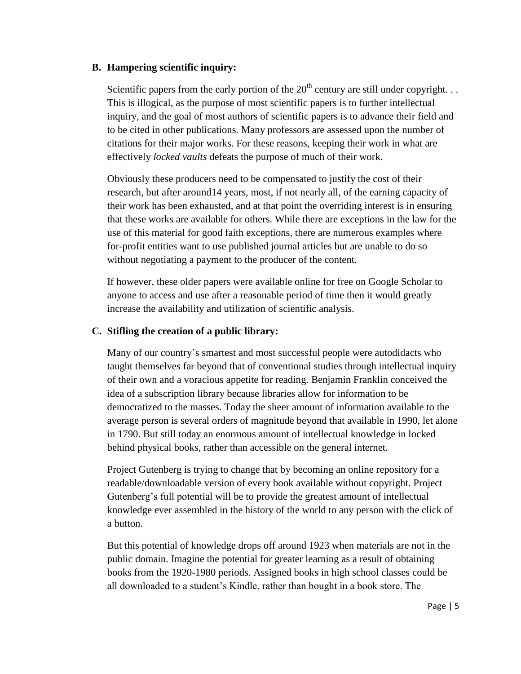#### **B. Hampering scientific inquiry:**

Scientific papers from the early portion of the  $20<sup>th</sup>$  century are still under copyright. . . This is illogical, as the purpose of most scientific papers is to further intellectual inquiry, and the goal of most authors of scientific papers is to advance their field and to be cited in other publications. Many professors are assessed upon the number of citations for their major works. For these reasons, keeping their work in what are effectively *locked vaults* defeats the purpose of much of their work.

Obviously these producers need to be compensated to justify the cost of their research, but after around14 years, most, if not nearly all, of the earning capacity of their work has been exhausted, and at that point the overriding interest is in ensuring that these works are available for others. While there are exceptions in the law for the use of this material for good faith exceptions, there are numerous examples where for-profit entities want to use published journal articles but are unable to do so without negotiating a payment to the producer of the content.

If however, these older papers were available online for free on Google Scholar to anyone to access and use after a reasonable period of time then it would greatly increase the availability and utilization of scientific analysis.

#### **C. Stifling the creation of a public library:**

Many of our country's smartest and most successful people were autodidacts who taught themselves far beyond that of conventional studies through intellectual inquiry of their own and a voracious appetite for reading. Benjamin Franklin conceived the idea of a subscription library because libraries allow for information to be democratized to the masses. Today the sheer amount of information available to the average person is several orders of magnitude beyond that available in 1990, let alone in 1790. But still today an enormous amount of intellectual knowledge in locked behind physical books, rather than accessible on the general internet.

Project Gutenberg is trying to change that by becoming an online repository for a readable/downloadable version of every book available without copyright. Project Gutenberg's full potential will be to provide the greatest amount of intellectual knowledge ever assembled in the history of the world to any person with the click of a button.

But this potential of knowledge drops off around 1923 when materials are not in the public domain. Imagine the potential for greater learning as a result of obtaining books from the 1920-1980 periods. Assigned books in high school classes could be all downloaded to a student's Kindle, rather than bought in a book store. The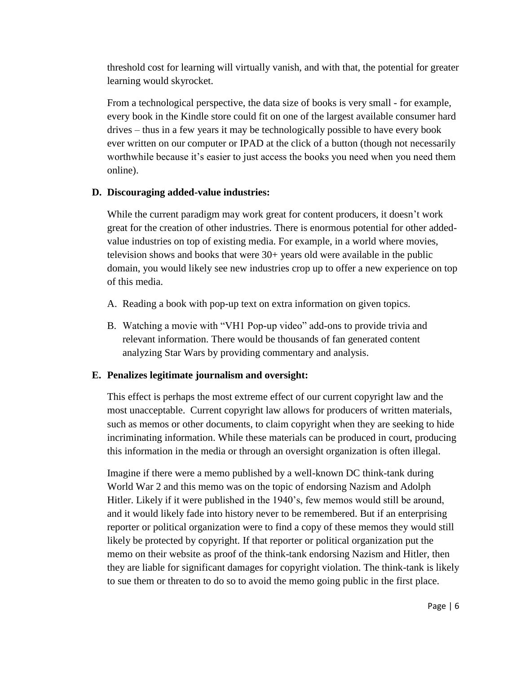threshold cost for learning will virtually vanish, and with that, the potential for greater learning would skyrocket.

From a technological perspective, the data size of books is very small - for example, every book in the Kindle store could fit on one of the largest available consumer hard drives – thus in a few years it may be technologically possible to have every book ever written on our computer or IPAD at the click of a button (though not necessarily worthwhile because it's easier to just access the books you need when you need them online).

#### **D. Discouraging added-value industries:**

While the current paradigm may work great for content producers, it doesn't work great for the creation of other industries. There is enormous potential for other addedvalue industries on top of existing media. For example, in a world where movies, television shows and books that were 30+ years old were available in the public domain, you would likely see new industries crop up to offer a new experience on top of this media.

- A. Reading a book with pop-up text on extra information on given topics.
- B. Watching a movie with "VH1 Pop-up video" add-ons to provide trivia and relevant information. There would be thousands of fan generated content analyzing Star Wars by providing commentary and analysis.

### **E. Penalizes legitimate journalism and oversight:**

This effect is perhaps the most extreme effect of our current copyright law and the most unacceptable. Current copyright law allows for producers of written materials, such as memos or other documents, to claim copyright when they are seeking to hide incriminating information. While these materials can be produced in court, producing this information in the media or through an oversight organization is often illegal.

Imagine if there were a memo published by a well-known DC think-tank during World War 2 and this memo was on the topic of endorsing Nazism and Adolph Hitler. Likely if it were published in the 1940's, few memos would still be around, and it would likely fade into history never to be remembered. But if an enterprising reporter or political organization were to find a copy of these memos they would still likely be protected by copyright. If that reporter or political organization put the memo on their website as proof of the think-tank endorsing Nazism and Hitler, then they are liable for significant damages for copyright violation. The think-tank is likely to sue them or threaten to do so to avoid the memo going public in the first place.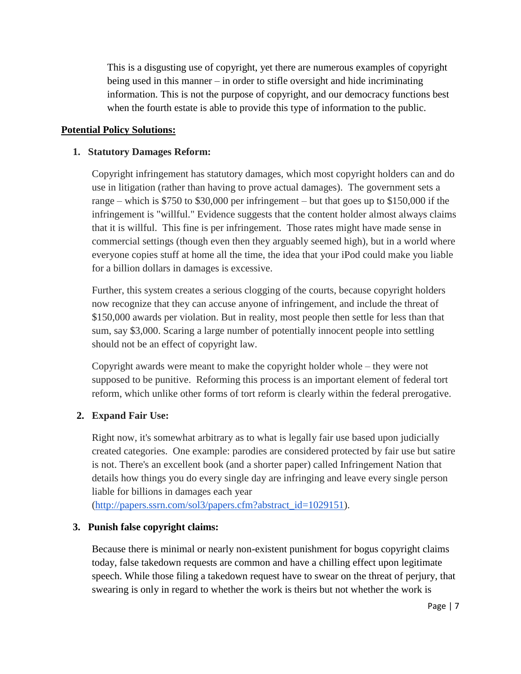This is a disgusting use of copyright, yet there are numerous examples of copyright being used in this manner – in order to stifle oversight and hide incriminating information. This is not the purpose of copyright, and our democracy functions best when the fourth estate is able to provide this type of information to the public.

### **Potential Policy Solutions:**

#### **1. Statutory Damages Reform:**

Copyright infringement has statutory damages, which most copyright holders can and do use in litigation (rather than having to prove actual damages). The government sets a range – which is \$750 to \$30,000 per infringement – but that goes up to \$150,000 if the infringement is "willful." Evidence suggests that the content holder almost always claims that it is willful. This fine is per infringement. Those rates might have made sense in commercial settings (though even then they arguably seemed high), but in a world where everyone copies stuff at home all the time, the idea that your iPod could make you liable for a billion dollars in damages is excessive.

Further, this system creates a serious clogging of the courts, because copyright holders now recognize that they can accuse anyone of infringement, and include the threat of \$150,000 awards per violation. But in reality, most people then settle for less than that sum, say \$3,000. Scaring a large number of potentially innocent people into settling should not be an effect of copyright law.

Copyright awards were meant to make the copyright holder whole – they were not supposed to be punitive. Reforming this process is an important element of federal tort reform, which unlike other forms of tort reform is clearly within the federal prerogative.

### **2. Expand Fair Use:**

Right now, it's somewhat arbitrary as to what is legally fair use based upon judicially created categories. One example: parodies are considered protected by fair use but satire is not. There's an excellent book (and a shorter paper) called Infringement Nation that details how things you do every single day are infringing and leave every single person liable for billions in damages each year

[\(http://papers.ssrn.com/sol3/papers.cfm?abstract\\_id=1029151\)](http://papers.ssrn.com/sol3/papers.cfm?abstract_id=1029151).

### **3. Punish false copyright claims:**

Because there is minimal or nearly non-existent punishment for bogus copyright claims today, false takedown requests are common and have a chilling effect upon legitimate speech. While those filing a takedown request have to swear on the threat of perjury, that swearing is only in regard to whether the work is theirs but not whether the work is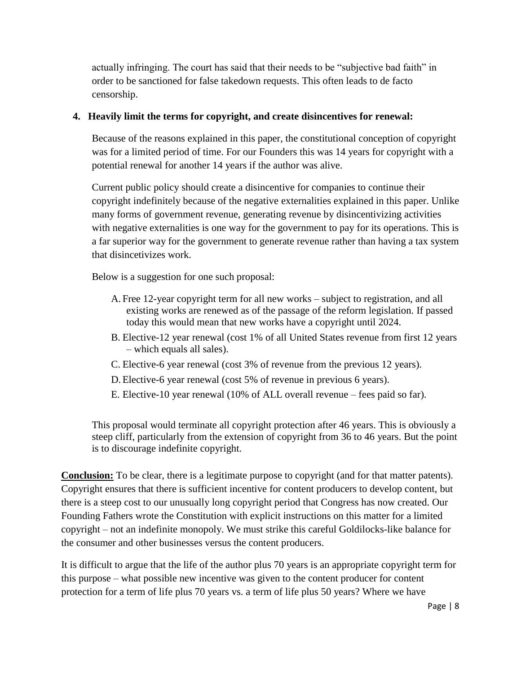actually infringing. The court has said that their needs to be "subjective bad faith" in order to be sanctioned for false takedown requests. This often leads to de facto censorship.

## **4. Heavily limit the terms for copyright, and create disincentives for renewal:**

Because of the reasons explained in this paper, the constitutional conception of copyright was for a limited period of time. For our Founders this was 14 years for copyright with a potential renewal for another 14 years if the author was alive.

Current public policy should create a disincentive for companies to continue their copyright indefinitely because of the negative externalities explained in this paper. Unlike many forms of government revenue, generating revenue by disincentivizing activities with negative externalities is one way for the government to pay for its operations. This is a far superior way for the government to generate revenue rather than having a tax system that disincetivizes work.

Below is a suggestion for one such proposal:

- A. Free 12-year copyright term for all new works subject to registration, and all existing works are renewed as of the passage of the reform legislation. If passed today this would mean that new works have a copyright until 2024.
- B. Elective-12 year renewal (cost 1% of all United States revenue from first 12 years – which equals all sales).
- C. Elective-6 year renewal (cost 3% of revenue from the previous 12 years).
- D.Elective-6 year renewal (cost 5% of revenue in previous 6 years).
- E. Elective-10 year renewal (10% of ALL overall revenue fees paid so far).

This proposal would terminate all copyright protection after 46 years. This is obviously a steep cliff, particularly from the extension of copyright from 36 to 46 years. But the point is to discourage indefinite copyright.

**Conclusion:** To be clear, there is a legitimate purpose to copyright (and for that matter patents). Copyright ensures that there is sufficient incentive for content producers to develop content, but there is a steep cost to our unusually long copyright period that Congress has now created. Our Founding Fathers wrote the Constitution with explicit instructions on this matter for a limited copyright – not an indefinite monopoly. We must strike this careful Goldilocks-like balance for the consumer and other businesses versus the content producers.

It is difficult to argue that the life of the author plus 70 years is an appropriate copyright term for this purpose – what possible new incentive was given to the content producer for content protection for a term of life plus 70 years vs. a term of life plus 50 years? Where we have